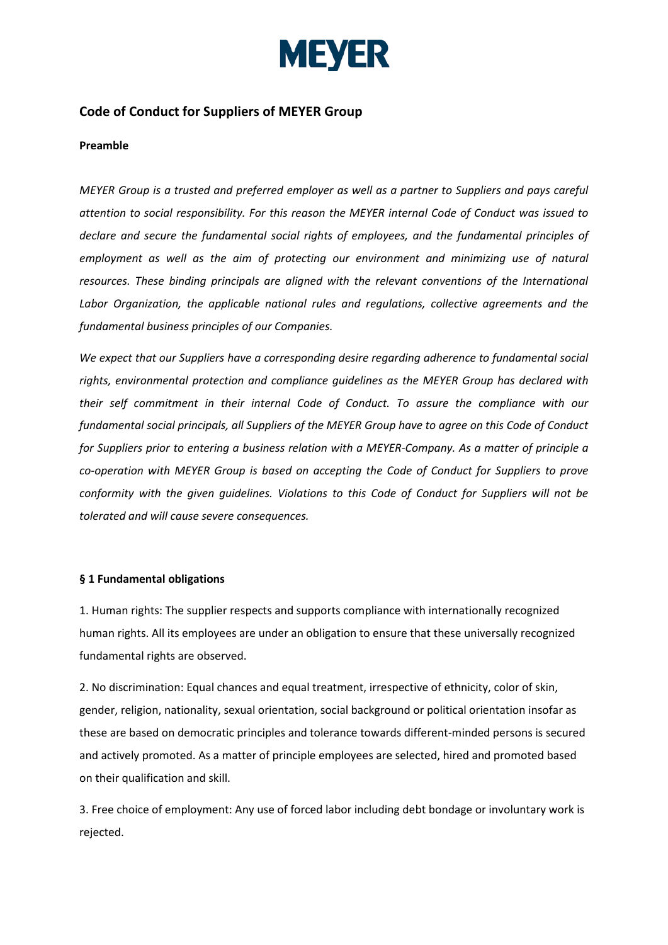

# **Code of Conduct for Suppliers of MEYER Group**

## **Preamble**

*MEYER Group is a trusted and preferred employer as well as a partner to Suppliers and pays careful attention to social responsibility. For this reason the MEYER internal Code of Conduct was issued to declare and secure the fundamental social rights of employees, and the fundamental principles of employment as well as the aim of protecting our environment and minimizing use of natural resources. These binding principals are aligned with the relevant conventions of the International Labor Organization, the applicable national rules and regulations, collective agreements and the fundamental business principles of our Companies.* 

*We expect that our Suppliers have a corresponding desire regarding adherence to fundamental social rights, environmental protection and compliance guidelines as the MEYER Group has declared with their self commitment in their internal Code of Conduct. To assure the compliance with our fundamental social principals, all Suppliers of the MEYER Group have to agree on this Code of Conduct for Suppliers prior to entering a business relation with a MEYER-Company. As a matter of principle a co-operation with MEYER Group is based on accepting the Code of Conduct for Suppliers to prove conformity with the given guidelines. Violations to this Code of Conduct for Suppliers will not be tolerated and will cause severe consequences.*

#### **§ 1 Fundamental obligations**

1. Human rights: The supplier respects and supports compliance with internationally recognized human rights. All its employees are under an obligation to ensure that these universally recognized fundamental rights are observed.

2. No discrimination: Equal chances and equal treatment, irrespective of ethnicity, color of skin, gender, religion, nationality, sexual orientation, social background or political orientation insofar as these are based on democratic principles and tolerance towards different-minded persons is secured and actively promoted. As a matter of principle employees are selected, hired and promoted based on their qualification and skill.

3. Free choice of employment: Any use of forced labor including debt bondage or involuntary work is rejected.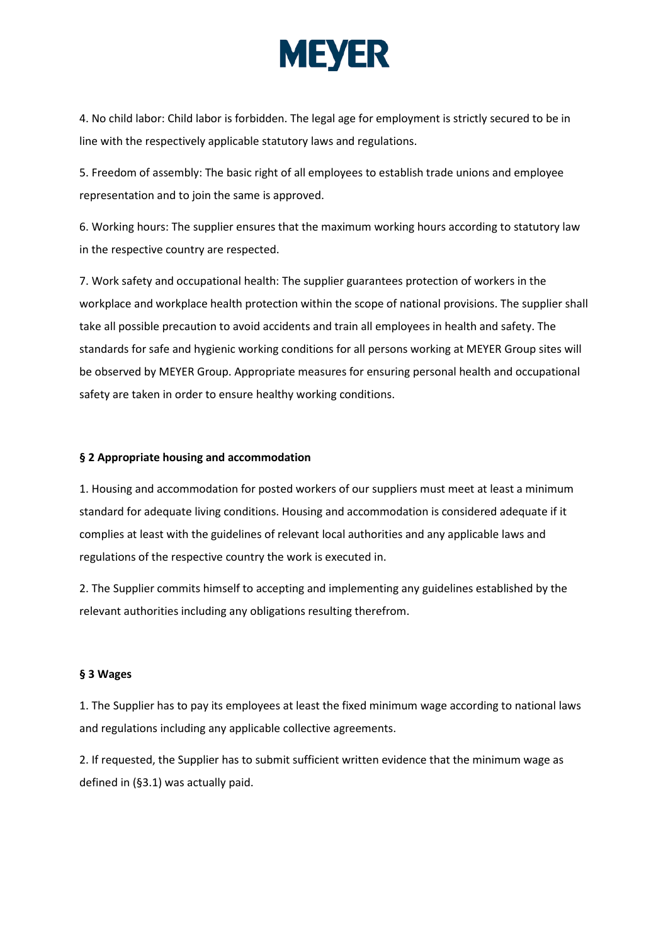

4. No child labor: Child labor is forbidden. The legal age for employment is strictly secured to be in line with the respectively applicable statutory laws and regulations.

5. Freedom of assembly: The basic right of all employees to establish trade unions and employee representation and to join the same is approved.

6. Working hours: The supplier ensures that the maximum working hours according to statutory law in the respective country are respected.

7. Work safety and occupational health: The supplier guarantees protection of workers in the workplace and workplace health protection within the scope of national provisions. The supplier shall take all possible precaution to avoid accidents and train all employees in health and safety. The standards for safe and hygienic working conditions for all persons working at MEYER Group sites will be observed by MEYER Group. Appropriate measures for ensuring personal health and occupational safety are taken in order to ensure healthy working conditions.

## **§ 2 Appropriate housing and accommodation**

1. Housing and accommodation for posted workers of our suppliers must meet at least a minimum standard for adequate living conditions. Housing and accommodation is considered adequate if it complies at least with the guidelines of relevant local authorities and any applicable laws and regulations of the respective country the work is executed in.

2. The Supplier commits himself to accepting and implementing any guidelines established by the relevant authorities including any obligations resulting therefrom.

#### **§ 3 Wages**

1. The Supplier has to pay its employees at least the fixed minimum wage according to national laws and regulations including any applicable collective agreements.

2. If requested, the Supplier has to submit sufficient written evidence that the minimum wage as defined in (§3.1) was actually paid.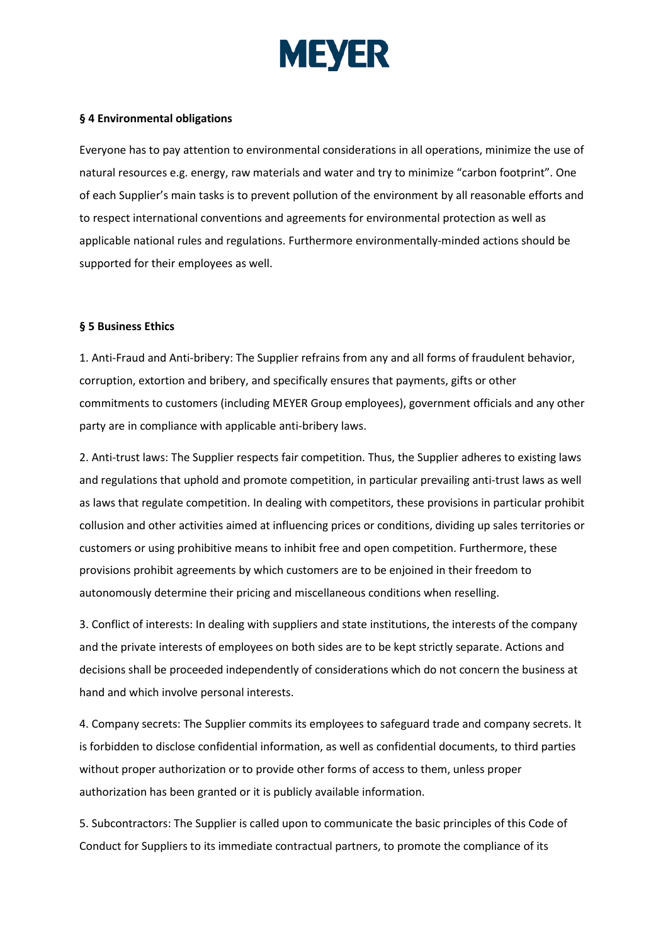

## **§ 4 Environmental obligations**

Everyone has to pay attention to environmental considerations in all operations, minimize the use of natural resources e.g. energy, raw materials and water and try to minimize "carbon footprint". One of each Supplier's main tasks is to prevent pollution of the environment by all reasonable efforts and to respect international conventions and agreements for environmental protection as well as applicable national rules and regulations. Furthermore environmentally-minded actions should be supported for their employees as well.

#### **§ 5 Business Ethics**

1. Anti-Fraud and Anti-bribery: The Supplier refrains from any and all forms of fraudulent behavior, corruption, extortion and bribery, and specifically ensures that payments, gifts or other commitments to customers (including MEYER Group employees), government officials and any other party are in compliance with applicable anti-bribery laws.

2. Anti-trust laws: The Supplier respects fair competition. Thus, the Supplier adheres to existing laws and regulations that uphold and promote competition, in particular prevailing anti-trust laws as well as laws that regulate competition. In dealing with competitors, these provisions in particular prohibit collusion and other activities aimed at influencing prices or conditions, dividing up sales territories or customers or using prohibitive means to inhibit free and open competition. Furthermore, these provisions prohibit agreements by which customers are to be enjoined in their freedom to autonomously determine their pricing and miscellaneous conditions when reselling.

3. Conflict of interests: In dealing with suppliers and state institutions, the interests of the company and the private interests of employees on both sides are to be kept strictly separate. Actions and decisions shall be proceeded independently of considerations which do not concern the business at hand and which involve personal interests.

4. Company secrets: The Supplier commits its employees to safeguard trade and company secrets. It is forbidden to disclose confidential information, as well as confidential documents, to third parties without proper authorization or to provide other forms of access to them, unless proper authorization has been granted or it is publicly available information.

5. Subcontractors: The Supplier is called upon to communicate the basic principles of this Code of Conduct for Suppliers to its immediate contractual partners, to promote the compliance of its